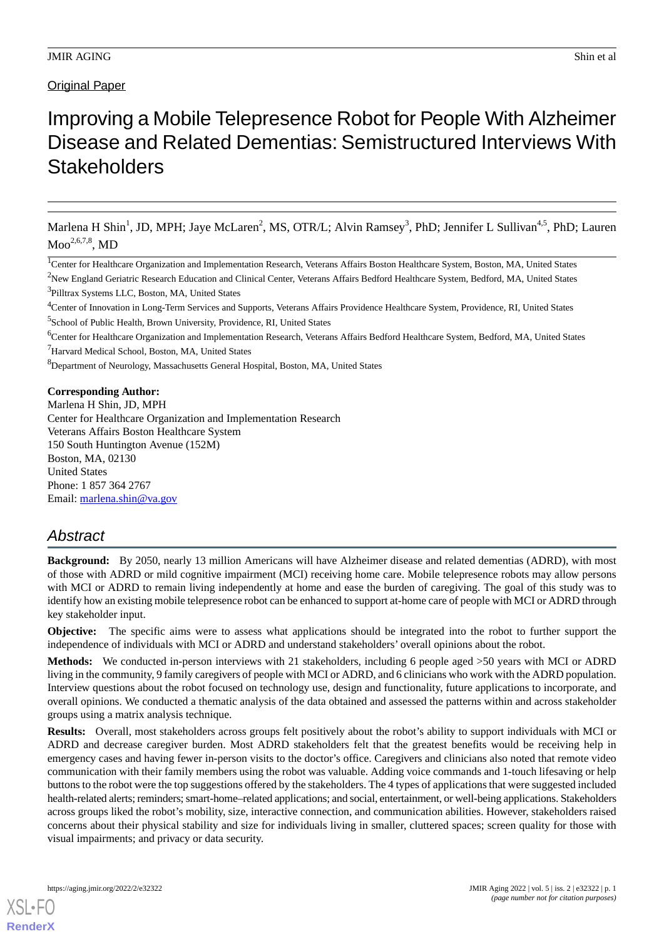# Improving a Mobile Telepresence Robot for People With Alzheimer Disease and Related Dementias: Semistructured Interviews With **Stakeholders**

Marlena H Shin<sup>1</sup>, JD, MPH; Jaye McLaren<sup>2</sup>, MS, OTR/L; Alvin Ramsey<sup>3</sup>, PhD; Jennifer L Sullivan<sup>4,5</sup>, PhD; Lauren  $\mathrm{Moo}^{2,6,7,8}, \mathrm{MD}$ 

<sup>1</sup>Center for Healthcare Organization and Implementation Research, Veterans Affairs Boston Healthcare System, Boston, MA, United States  $2$ New England Geriatric Research Education and Clinical Center, Veterans Affairs Bedford Healthcare System, Bedford, MA, United States <sup>3</sup>Pilltrax Systems LLC, Boston, MA, United States

<sup>4</sup>Center of Innovation in Long-Term Services and Supports, Veterans Affairs Providence Healthcare System, Providence, RI, United States 5 School of Public Health, Brown University, Providence, RI, United States

<sup>6</sup>Center for Healthcare Organization and Implementation Research, Veterans Affairs Bedford Healthcare System, Bedford, MA, United States <sup>7</sup>Harvard Medical School, Boston, MA, United States

<sup>8</sup>Department of Neurology, Massachusetts General Hospital, Boston, MA, United States

**Corresponding Author:**

Marlena H Shin, JD, MPH Center for Healthcare Organization and Implementation Research Veterans Affairs Boston Healthcare System 150 South Huntington Avenue (152M) Boston, MA, 02130 United States Phone: 1 857 364 2767 Email: [marlena.shin@va.gov](mailto:marlena.shin@va.gov)

## *Abstract*

**Background:** By 2050, nearly 13 million Americans will have Alzheimer disease and related dementias (ADRD), with most of those with ADRD or mild cognitive impairment (MCI) receiving home care. Mobile telepresence robots may allow persons with MCI or ADRD to remain living independently at home and ease the burden of caregiving. The goal of this study was to identify how an existing mobile telepresence robot can be enhanced to support at-home care of people with MCI or ADRD through key stakeholder input.

**Objective:** The specific aims were to assess what applications should be integrated into the robot to further support the independence of individuals with MCI or ADRD and understand stakeholders' overall opinions about the robot.

**Methods:** We conducted in-person interviews with 21 stakeholders, including 6 people aged >50 years with MCI or ADRD living in the community, 9 family caregivers of people with MCI or ADRD, and 6 clinicians who work with the ADRD population. Interview questions about the robot focused on technology use, design and functionality, future applications to incorporate, and overall opinions. We conducted a thematic analysis of the data obtained and assessed the patterns within and across stakeholder groups using a matrix analysis technique.

**Results:** Overall, most stakeholders across groups felt positively about the robot's ability to support individuals with MCI or ADRD and decrease caregiver burden. Most ADRD stakeholders felt that the greatest benefits would be receiving help in emergency cases and having fewer in-person visits to the doctor's office. Caregivers and clinicians also noted that remote video communication with their family members using the robot was valuable. Adding voice commands and 1-touch lifesaving or help buttons to the robot were the top suggestions offered by the stakeholders. The 4 types of applications that were suggested included health-related alerts; reminders; smart-home–related applications; and social, entertainment, or well-being applications. Stakeholders across groups liked the robot's mobility, size, interactive connection, and communication abilities. However, stakeholders raised concerns about their physical stability and size for individuals living in smaller, cluttered spaces; screen quality for those with visual impairments; and privacy or data security.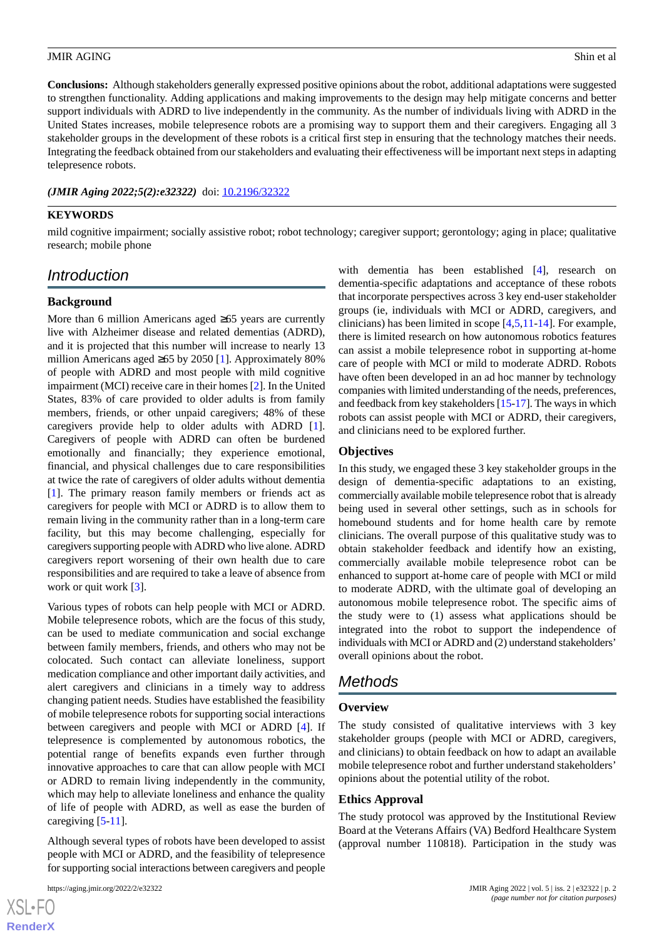**Conclusions:** Although stakeholders generally expressed positive opinions about the robot, additional adaptations were suggested to strengthen functionality. Adding applications and making improvements to the design may help mitigate concerns and better support individuals with ADRD to live independently in the community. As the number of individuals living with ADRD in the United States increases, mobile telepresence robots are a promising way to support them and their caregivers. Engaging all 3 stakeholder groups in the development of these robots is a critical first step in ensuring that the technology matches their needs. Integrating the feedback obtained from our stakeholders and evaluating their effectiveness will be important next steps in adapting telepresence robots.

#### (JMIR Aging 2022;5(2):e32322) doi: [10.2196/32322](http://dx.doi.org/10.2196/32322)

#### **KEYWORDS**

mild cognitive impairment; socially assistive robot; robot technology; caregiver support; gerontology; aging in place; qualitative research; mobile phone

## *Introduction*

#### **Background**

More than 6 million Americans aged ≥65 years are currently live with Alzheimer disease and related dementias (ADRD), and it is projected that this number will increase to nearly 13 million Americans aged ≥65 by 2050 [\[1](#page-12-0)]. Approximately 80% of people with ADRD and most people with mild cognitive impairment (MCI) receive care in their homes [[2](#page-12-1)]. In the United States, 83% of care provided to older adults is from family members, friends, or other unpaid caregivers; 48% of these caregivers provide help to older adults with ADRD [[1\]](#page-12-0). Caregivers of people with ADRD can often be burdened emotionally and financially; they experience emotional, financial, and physical challenges due to care responsibilities at twice the rate of caregivers of older adults without dementia [[1\]](#page-12-0). The primary reason family members or friends act as caregivers for people with MCI or ADRD is to allow them to remain living in the community rather than in a long-term care facility, but this may become challenging, especially for caregivers supporting people with ADRD who live alone. ADRD caregivers report worsening of their own health due to care responsibilities and are required to take a leave of absence from work or quit work [[3\]](#page-12-2).

Various types of robots can help people with MCI or ADRD. Mobile telepresence robots, which are the focus of this study, can be used to mediate communication and social exchange between family members, friends, and others who may not be colocated. Such contact can alleviate loneliness, support medication compliance and other important daily activities, and alert caregivers and clinicians in a timely way to address changing patient needs. Studies have established the feasibility of mobile telepresence robots for supporting social interactions between caregivers and people with MCI or ADRD [[4\]](#page-12-3). If telepresence is complemented by autonomous robotics, the potential range of benefits expands even further through innovative approaches to care that can allow people with MCI or ADRD to remain living independently in the community, which may help to alleviate loneliness and enhance the quality of life of people with ADRD, as well as ease the burden of caregiving  $[5-11]$  $[5-11]$  $[5-11]$ .

Although several types of robots have been developed to assist people with MCI or ADRD, and the feasibility of telepresence for supporting social interactions between caregivers and people

 $XS$  $\cdot$ FC **[RenderX](http://www.renderx.com/)** with dementia has been established [\[4](#page-12-3)], research on dementia-specific adaptations and acceptance of these robots that incorporate perspectives across 3 key end-user stakeholder groups (ie, individuals with MCI or ADRD, caregivers, and clinicians) has been limited in scope [[4](#page-12-3)[,5](#page-12-4),[11](#page-12-5)[-14](#page-13-0)]. For example, there is limited research on how autonomous robotics features can assist a mobile telepresence robot in supporting at-home care of people with MCI or mild to moderate ADRD. Robots have often been developed in an ad hoc manner by technology companies with limited understanding of the needs, preferences, and feedback from key stakeholders [[15-](#page-13-1)[17\]](#page-13-2). The ways in which robots can assist people with MCI or ADRD, their caregivers, and clinicians need to be explored further.

#### **Objectives**

In this study, we engaged these 3 key stakeholder groups in the design of dementia-specific adaptations to an existing, commercially available mobile telepresence robot that is already being used in several other settings, such as in schools for homebound students and for home health care by remote clinicians. The overall purpose of this qualitative study was to obtain stakeholder feedback and identify how an existing, commercially available mobile telepresence robot can be enhanced to support at-home care of people with MCI or mild to moderate ADRD, with the ultimate goal of developing an autonomous mobile telepresence robot. The specific aims of the study were to (1) assess what applications should be integrated into the robot to support the independence of individuals with MCI or ADRD and (2) understand stakeholders' overall opinions about the robot.

## *Methods*

#### **Overview**

The study consisted of qualitative interviews with 3 key stakeholder groups (people with MCI or ADRD, caregivers, and clinicians) to obtain feedback on how to adapt an available mobile telepresence robot and further understand stakeholders' opinions about the potential utility of the robot.

#### **Ethics Approval**

The study protocol was approved by the Institutional Review Board at the Veterans Affairs (VA) Bedford Healthcare System (approval number 110818). Participation in the study was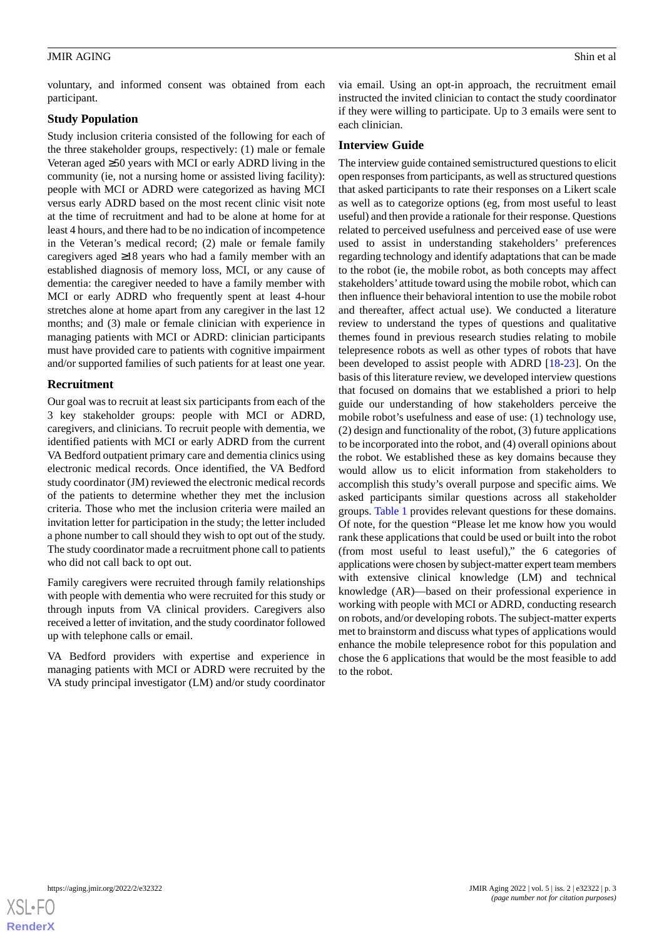voluntary, and informed consent was obtained from each participant.

#### **Study Population**

Study inclusion criteria consisted of the following for each of the three stakeholder groups, respectively: (1) male or female Veteran aged ≥50 years with MCI or early ADRD living in the community (ie, not a nursing home or assisted living facility): people with MCI or ADRD were categorized as having MCI versus early ADRD based on the most recent clinic visit note at the time of recruitment and had to be alone at home for at least 4 hours, and there had to be no indication of incompetence in the Veteran's medical record; (2) male or female family caregivers aged ≥18 years who had a family member with an established diagnosis of memory loss, MCI, or any cause of dementia: the caregiver needed to have a family member with MCI or early ADRD who frequently spent at least 4-hour stretches alone at home apart from any caregiver in the last 12 months; and (3) male or female clinician with experience in managing patients with MCI or ADRD: clinician participants must have provided care to patients with cognitive impairment and/or supported families of such patients for at least one year.

#### **Recruitment**

Our goal was to recruit at least six participants from each of the 3 key stakeholder groups: people with MCI or ADRD, caregivers, and clinicians. To recruit people with dementia, we identified patients with MCI or early ADRD from the current VA Bedford outpatient primary care and dementia clinics using electronic medical records. Once identified, the VA Bedford study coordinator (JM) reviewed the electronic medical records of the patients to determine whether they met the inclusion criteria. Those who met the inclusion criteria were mailed an invitation letter for participation in the study; the letter included a phone number to call should they wish to opt out of the study. The study coordinator made a recruitment phone call to patients who did not call back to opt out.

Family caregivers were recruited through family relationships with people with dementia who were recruited for this study or through inputs from VA clinical providers. Caregivers also received a letter of invitation, and the study coordinator followed up with telephone calls or email.

VA Bedford providers with expertise and experience in managing patients with MCI or ADRD were recruited by the VA study principal investigator (LM) and/or study coordinator via email. Using an opt-in approach, the recruitment email instructed the invited clinician to contact the study coordinator if they were willing to participate. Up to 3 emails were sent to each clinician.

#### **Interview Guide**

The interview guide contained semistructured questions to elicit open responses from participants, as well as structured questions that asked participants to rate their responses on a Likert scale as well as to categorize options (eg, from most useful to least useful) and then provide a rationale for their response. Questions related to perceived usefulness and perceived ease of use were used to assist in understanding stakeholders' preferences regarding technology and identify adaptations that can be made to the robot (ie, the mobile robot, as both concepts may affect stakeholders' attitude toward using the mobile robot, which can then influence their behavioral intention to use the mobile robot and thereafter, affect actual use). We conducted a literature review to understand the types of questions and qualitative themes found in previous research studies relating to mobile telepresence robots as well as other types of robots that have been developed to assist people with ADRD [\[18](#page-13-3)-[23\]](#page-13-4). On the basis of this literature review, we developed interview questions that focused on domains that we established a priori to help guide our understanding of how stakeholders perceive the mobile robot's usefulness and ease of use: (1) technology use, (2) design and functionality of the robot, (3) future applications to be incorporated into the robot, and (4) overall opinions about the robot. We established these as key domains because they would allow us to elicit information from stakeholders to accomplish this study's overall purpose and specific aims. We asked participants similar questions across all stakeholder groups. [Table 1](#page-3-0) provides relevant questions for these domains. Of note, for the question "Please let me know how you would rank these applications that could be used or built into the robot (from most useful to least useful)," the 6 categories of applications were chosen by subject-matter expert team members with extensive clinical knowledge (LM) and technical knowledge (AR)—based on their professional experience in working with people with MCI or ADRD, conducting research on robots, and/or developing robots. The subject-matter experts met to brainstorm and discuss what types of applications would enhance the mobile telepresence robot for this population and chose the 6 applications that would be the most feasible to add to the robot.

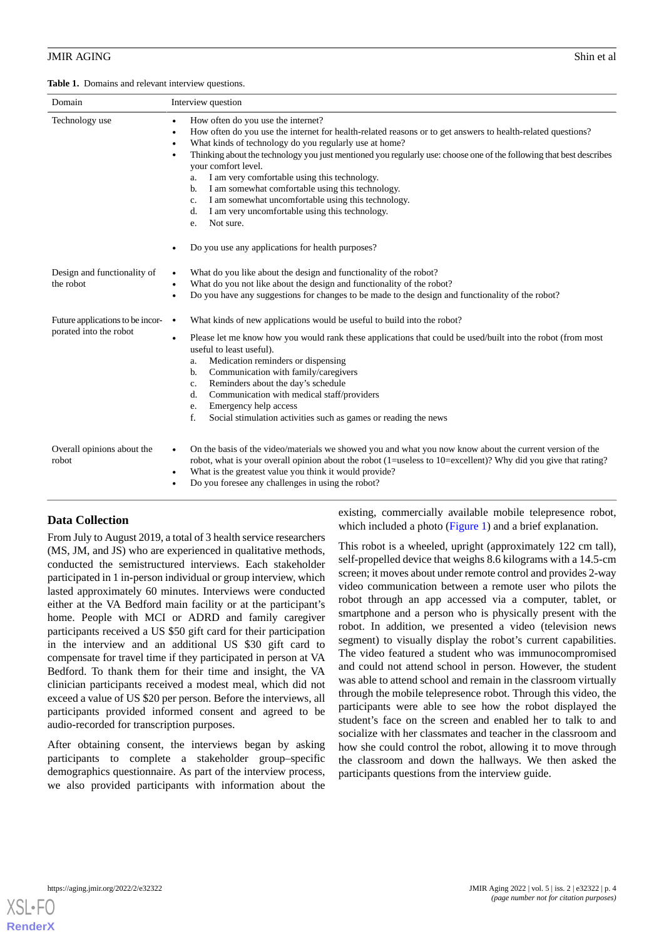<span id="page-3-0"></span>**Table 1.** Domains and relevant interview questions.

| Domain                                                     | Interview question                                                                                                                                                                                                                                                                                                                                                                                                                                                                                                                                                                                                                                                                                                       |  |
|------------------------------------------------------------|--------------------------------------------------------------------------------------------------------------------------------------------------------------------------------------------------------------------------------------------------------------------------------------------------------------------------------------------------------------------------------------------------------------------------------------------------------------------------------------------------------------------------------------------------------------------------------------------------------------------------------------------------------------------------------------------------------------------------|--|
| Technology use                                             | How often do you use the internet?<br>$\bullet$<br>How often do you use the internet for health-related reasons or to get answers to health-related questions?<br>$\bullet$<br>What kinds of technology do you regularly use at home?<br>$\bullet$<br>Thinking about the technology you just mentioned you regularly use: choose one of the following that best describes<br>$\bullet$<br>your comfort level.<br>I am very comfortable using this technology.<br>a.<br>I am somewhat comfortable using this technology.<br>b.<br>I am somewhat uncomfortable using this technology.<br>c.<br>I am very uncomfortable using this technology.<br>d.<br>Not sure.<br>e.<br>Do you use any applications for health purposes? |  |
| Design and functionality of<br>the robot                   | What do you like about the design and functionality of the robot?<br>What do you not like about the design and functionality of the robot?<br>$\bullet$<br>Do you have any suggestions for changes to be made to the design and functionality of the robot?<br>$\bullet$                                                                                                                                                                                                                                                                                                                                                                                                                                                 |  |
| Future applications to be incor-<br>porated into the robot | What kinds of new applications would be useful to build into the robot?<br>$\bullet$<br>Please let me know how you would rank these applications that could be used/built into the robot (from most<br>$\bullet$<br>useful to least useful).<br>Medication reminders or dispensing<br>a.<br>Communication with family/caregivers<br>b.<br>Reminders about the day's schedule<br>c.<br>Communication with medical staff/providers<br>d.<br>Emergency help access<br>e.<br>f.<br>Social stimulation activities such as games or reading the news                                                                                                                                                                           |  |
| Overall opinions about the<br>robot                        | On the basis of the video/materials we showed you and what you now know about the current version of the<br>$\bullet$<br>robot, what is your overall opinion about the robot (1=useless to 10=excellent)? Why did you give that rating?<br>What is the greatest value you think it would provide?<br>$\bullet$<br>Do you foresee any challenges in using the robot?<br>٠                                                                                                                                                                                                                                                                                                                                                 |  |

## **Data Collection**

From July to August 2019, a total of 3 health service researchers (MS, JM, and JS) who are experienced in qualitative methods, conducted the semistructured interviews. Each stakeholder participated in 1 in-person individual or group interview, which lasted approximately 60 minutes. Interviews were conducted either at the VA Bedford main facility or at the participant's home. People with MCI or ADRD and family caregiver participants received a US \$50 gift card for their participation in the interview and an additional US \$30 gift card to compensate for travel time if they participated in person at VA Bedford. To thank them for their time and insight, the VA clinician participants received a modest meal, which did not exceed a value of US \$20 per person. Before the interviews, all participants provided informed consent and agreed to be audio-recorded for transcription purposes.

After obtaining consent, the interviews began by asking participants to complete a stakeholder group–specific demographics questionnaire. As part of the interview process, we also provided participants with information about the existing, commercially available mobile telepresence robot, which included a photo [\(Figure 1\)](#page-4-0) and a brief explanation.

This robot is a wheeled, upright (approximately 122 cm tall), self-propelled device that weighs 8.6 kilograms with a 14.5-cm screen; it moves about under remote control and provides 2-way video communication between a remote user who pilots the robot through an app accessed via a computer, tablet, or smartphone and a person who is physically present with the robot. In addition, we presented a video (television news segment) to visually display the robot's current capabilities. The video featured a student who was immunocompromised and could not attend school in person. However, the student was able to attend school and remain in the classroom virtually through the mobile telepresence robot. Through this video, the participants were able to see how the robot displayed the student's face on the screen and enabled her to talk to and socialize with her classmates and teacher in the classroom and how she could control the robot, allowing it to move through the classroom and down the hallways. We then asked the participants questions from the interview guide.

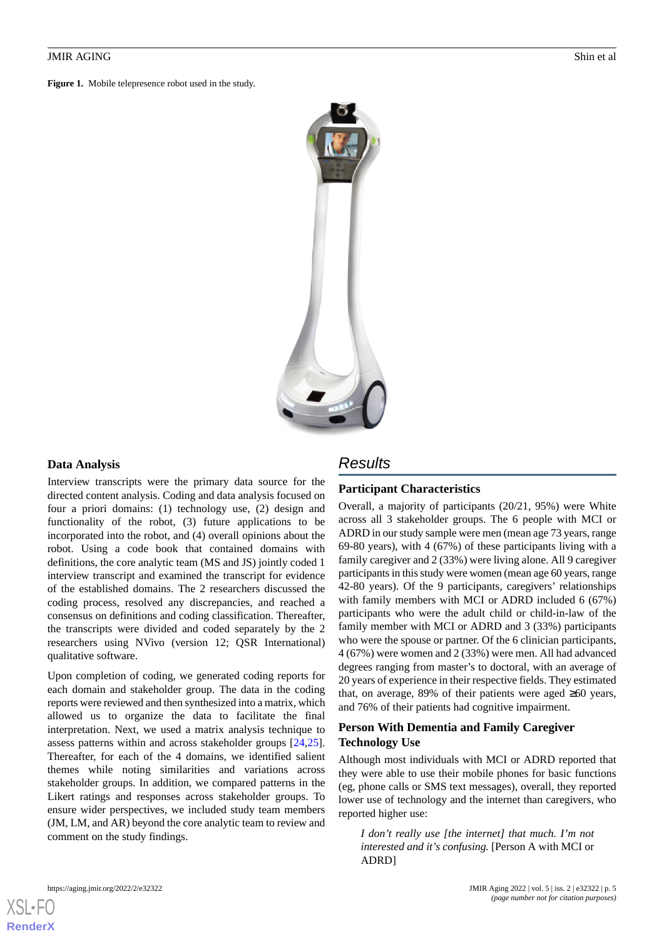<span id="page-4-0"></span>**Figure 1.** Mobile telepresence robot used in the study.



#### **Data Analysis**

Interview transcripts were the primary data source for the directed content analysis. Coding and data analysis focused on four a priori domains: (1) technology use, (2) design and functionality of the robot, (3) future applications to be incorporated into the robot, and (4) overall opinions about the robot. Using a code book that contained domains with definitions, the core analytic team (MS and JS) jointly coded 1 interview transcript and examined the transcript for evidence of the established domains. The 2 researchers discussed the coding process, resolved any discrepancies, and reached a consensus on definitions and coding classification. Thereafter, the transcripts were divided and coded separately by the 2 researchers using NVivo (version 12; QSR International) qualitative software.

Upon completion of coding, we generated coding reports for each domain and stakeholder group. The data in the coding reports were reviewed and then synthesized into a matrix, which allowed us to organize the data to facilitate the final interpretation. Next, we used a matrix analysis technique to assess patterns within and across stakeholder groups [\[24](#page-13-5),[25\]](#page-13-6). Thereafter, for each of the 4 domains, we identified salient themes while noting similarities and variations across stakeholder groups. In addition, we compared patterns in the Likert ratings and responses across stakeholder groups. To ensure wider perspectives, we included study team members (JM, LM, and AR) beyond the core analytic team to review and comment on the study findings.

## *Results*

## **Participant Characteristics**

Overall, a majority of participants (20/21, 95%) were White across all 3 stakeholder groups. The 6 people with MCI or ADRD in our study sample were men (mean age 73 years, range 69-80 years), with 4 (67%) of these participants living with a family caregiver and 2 (33%) were living alone. All 9 caregiver participants in this study were women (mean age 60 years, range 42-80 years). Of the 9 participants, caregivers' relationships with family members with MCI or ADRD included 6 (67%) participants who were the adult child or child-in-law of the family member with MCI or ADRD and 3 (33%) participants who were the spouse or partner. Of the 6 clinician participants, 4 (67%) were women and 2 (33%) were men. All had advanced degrees ranging from master's to doctoral, with an average of 20 years of experience in their respective fields. They estimated that, on average, 89% of their patients were aged  $\geq 60$  years, and 76% of their patients had cognitive impairment.

## **Person With Dementia and Family Caregiver Technology Use**

Although most individuals with MCI or ADRD reported that they were able to use their mobile phones for basic functions (eg, phone calls or SMS text messages), overall, they reported lower use of technology and the internet than caregivers, who reported higher use:

*I don't really use [the internet] that much. I'm not interested and it's confusing.* [Person A with MCI or ADRD]

```
XSL•FO
RenderX
```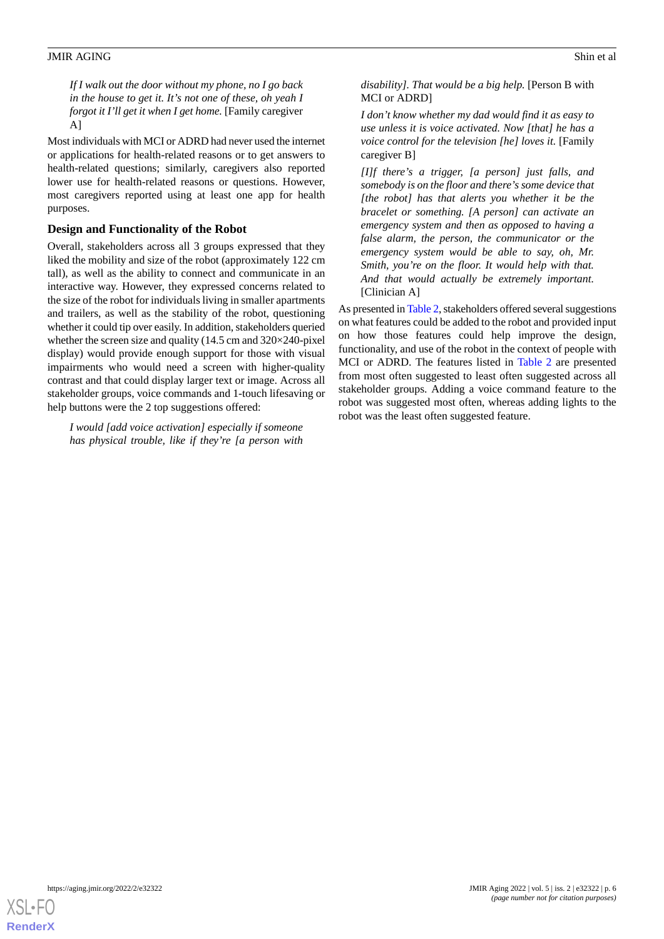*If I walk out the door without my phone, no I go back in the house to get it. It's not one of these, oh yeah I forgot it I'll get it when I get home.* [Family caregiver A]

Most individuals with MCI or ADRD had never used the internet or applications for health-related reasons or to get answers to health-related questions; similarly, caregivers also reported lower use for health-related reasons or questions. However, most caregivers reported using at least one app for health purposes.

## **Design and Functionality of the Robot**

Overall, stakeholders across all 3 groups expressed that they liked the mobility and size of the robot (approximately 122 cm tall), as well as the ability to connect and communicate in an interactive way. However, they expressed concerns related to the size of the robot for individuals living in smaller apartments and trailers, as well as the stability of the robot, questioning whether it could tip over easily. In addition, stakeholders queried whether the screen size and quality (14.5 cm and 320×240-pixel display) would provide enough support for those with visual impairments who would need a screen with higher-quality contrast and that could display larger text or image. Across all stakeholder groups, voice commands and 1-touch lifesaving or help buttons were the 2 top suggestions offered:

*I would [add voice activation] especially if someone has physical trouble, like if they're [a person with*

*disability]. That would be a big help.* [Person B with MCI or ADRD]

*I don't know whether my dad would find it as easy to use unless it is voice activated. Now [that] he has a voice control for the television [he] loves it.* [Family caregiver B]

*[I]f there's a trigger, [a person] just falls, and somebody is on the floor and there's some device that [the robot] has that alerts you whether it be the bracelet or something. [A person] can activate an emergency system and then as opposed to having a false alarm, the person, the communicator or the emergency system would be able to say, oh, Mr. Smith, you're on the floor. It would help with that. And that would actually be extremely important.* [Clinician A]

As presented in [Table 2,](#page-6-0) stakeholders offered several suggestions on what features could be added to the robot and provided input on how those features could help improve the design, functionality, and use of the robot in the context of people with MCI or ADRD. The features listed in [Table 2](#page-6-0) are presented from most often suggested to least often suggested across all stakeholder groups. Adding a voice command feature to the robot was suggested most often, whereas adding lights to the robot was the least often suggested feature.

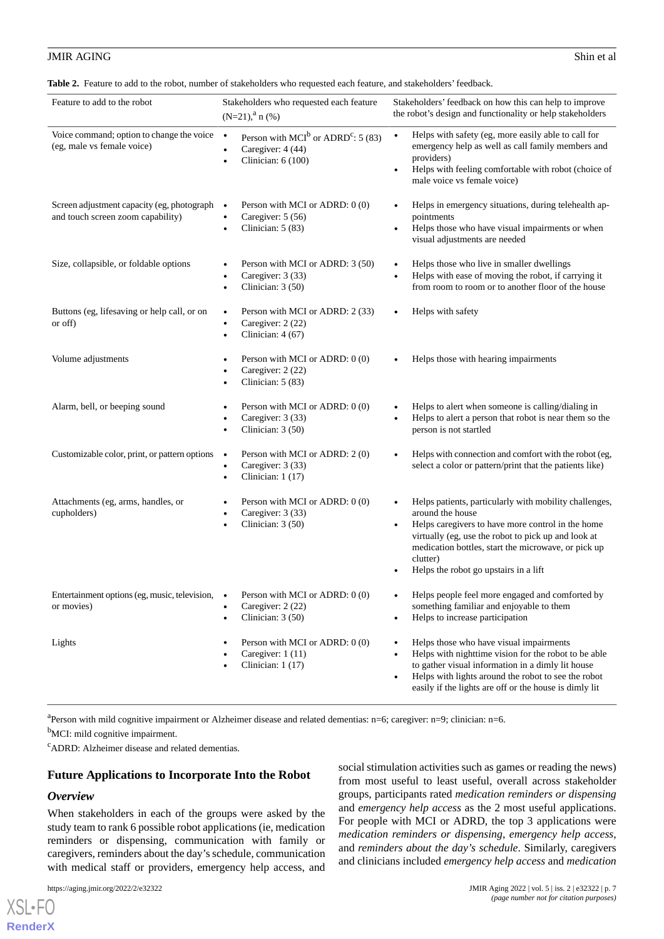<span id="page-6-0"></span>**Table 2.** Feature to add to the robot, number of stakeholders who requested each feature, and stakeholders' feedback.

| Feature to add to the robot                                                     | Stakeholders who requested each feature<br>$(N=21)$ , <sup>a</sup> n (%)                                           | Stakeholders' feedback on how this can help to improve<br>the robot's design and functionality or help stakeholders                                                                                                                                                                                             |
|---------------------------------------------------------------------------------|--------------------------------------------------------------------------------------------------------------------|-----------------------------------------------------------------------------------------------------------------------------------------------------------------------------------------------------------------------------------------------------------------------------------------------------------------|
| Voice command; option to change the voice<br>(eg, male vs female voice)         | $\bullet$<br>Person with MCI <sup>b</sup> or ADRD <sup>c</sup> : 5 (83)<br>Caregiver: 4 (44)<br>Clinician: 6 (100) | Helps with safety (eg, more easily able to call for<br>$\bullet$<br>emergency help as well as call family members and<br>providers)<br>Helps with feeling comfortable with robot (choice of<br>$\bullet$<br>male voice vs female voice)                                                                         |
| Screen adjustment capacity (eg, photograph<br>and touch screen zoom capability) | Person with MCI or ADRD: 0 (0)<br>$\bullet$<br>Caregiver: 5 (56)<br>$\bullet$<br>Clinician: 5 (83)                 | Helps in emergency situations, during telehealth ap-<br>pointments<br>Helps those who have visual impairments or when<br>$\bullet$<br>visual adjustments are needed                                                                                                                                             |
| Size, collapsible, or foldable options                                          | Person with MCI or ADRD: 3 (50)<br>Caregiver: 3 (33)<br>٠<br>Clinician: $3(50)$                                    | Helps those who live in smaller dwellings<br>Helps with ease of moving the robot, if carrying it<br>from room to room or to another floor of the house                                                                                                                                                          |
| Buttons (eg, lifesaving or help call, or on<br>or off)                          | Person with MCI or ADRD: 2 (33)<br>$\bullet$<br>Caregiver: 2 (22)<br>$\bullet$<br>Clinician: 4 (67)<br>$\bullet$   | Helps with safety                                                                                                                                                                                                                                                                                               |
| Volume adjustments                                                              | Person with MCI or ADRD: 0 (0)<br>$\bullet$<br>Caregiver: 2 (22)<br>Clinician: 5 (83)                              | Helps those with hearing impairments                                                                                                                                                                                                                                                                            |
| Alarm, bell, or beeping sound                                                   | Person with MCI or ADRD: 0 (0)<br>Caregiver: 3 (33)<br>٠<br>Clinician: 3 (50)<br>$\bullet$                         | Helps to alert when someone is calling/dialing in<br>Helps to alert a person that robot is near them so the<br>person is not startled                                                                                                                                                                           |
| Customizable color, print, or pattern options                                   | Person with MCI or ADRD: 2 (0)<br>$\bullet$<br>Caregiver: 3 (33)<br>$\bullet$<br>Clinician: 1 (17)<br>$\bullet$    | Helps with connection and comfort with the robot (eg,<br>select a color or pattern/print that the patients like)                                                                                                                                                                                                |
| Attachments (eg, arms, handles, or<br>cupholders)                               | Person with MCI or ADRD: 0 (0)<br>Caregiver: 3 (33)<br>$\bullet$<br>Clinician: $3(50)$                             | Helps patients, particularly with mobility challenges,<br>around the house<br>Helps caregivers to have more control in the home<br>$\bullet$<br>virtually (eg, use the robot to pick up and look at<br>medication bottles, start the microwave, or pick up<br>clutter)<br>Helps the robot go upstairs in a lift |
| Entertainment options (eg, music, television,<br>or movies)                     | Person with MCI or ADRD: 0 (0)<br>$\bullet$<br>Caregiver: 2 (22)<br>Clinician: $3(50)$<br>$\bullet$                | Helps people feel more engaged and comforted by<br>something familiar and enjoyable to them<br>Helps to increase participation<br>٠                                                                                                                                                                             |
| Lights                                                                          | Person with MCI or ADRD: 0 (0)<br>Caregiver: 1 (11)<br>Clinician: 1 (17)                                           | Helps those who have visual impairments<br>Helps with nighttime vision for the robot to be able<br>$\bullet$<br>to gather visual information in a dimly lit house<br>Helps with lights around the robot to see the robot<br>$\bullet$<br>easily if the lights are off or the house is dimly lit                 |

a<br>Person with mild cognitive impairment or Alzheimer disease and related dementias: n=6; caregiver: n=9; clinician: n=6.

<sup>b</sup>MCI: mild cognitive impairment.

<sup>c</sup>ADRD: Alzheimer disease and related dementias.

#### **Future Applications to Incorporate Into the Robot**

#### *Overview*

[XSL](http://www.w3.org/Style/XSL)•FO **[RenderX](http://www.renderx.com/)**

When stakeholders in each of the groups were asked by the study team to rank 6 possible robot applications (ie, medication reminders or dispensing, communication with family or caregivers, reminders about the day's schedule, communication with medical staff or providers, emergency help access, and

social stimulation activities such as games or reading the news) from most useful to least useful, overall across stakeholder groups, participants rated *medication reminders or dispensing* and *emergency help access* as the 2 most useful applications. For people with MCI or ADRD, the top 3 applications were *medication reminders or dispensing*, *emergency help access*, and *reminders about the day's schedule*. Similarly, caregivers and clinicians included *emergency help access* and *medication*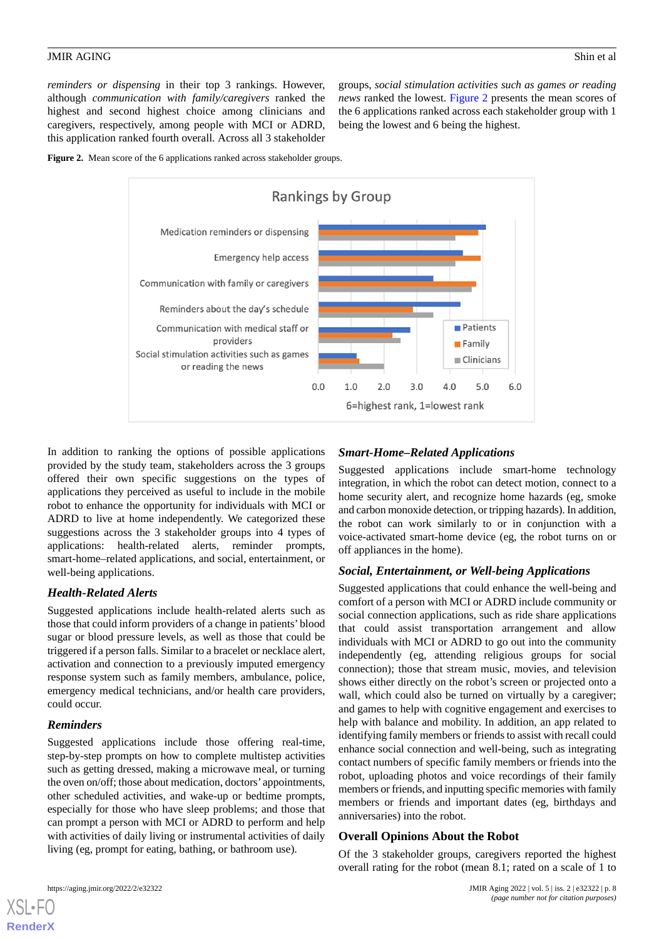*reminders or dispensing* in their top 3 rankings. However, although *communication with family/caregivers* ranked the highest and second highest choice among clinicians and caregivers, respectively, among people with MCI or ADRD, this application ranked fourth overall. Across all 3 stakeholder

groups, *social stimulation activities such as games or reading news* ranked the lowest. [Figure 2](#page-7-0) presents the mean scores of the 6 applications ranked across each stakeholder group with 1 being the lowest and 6 being the highest.

<span id="page-7-0"></span>



In addition to ranking the options of possible applications provided by the study team, stakeholders across the 3 groups offered their own specific suggestions on the types of applications they perceived as useful to include in the mobile robot to enhance the opportunity for individuals with MCI or ADRD to live at home independently. We categorized these suggestions across the 3 stakeholder groups into 4 types of applications: health-related alerts, reminder prompts, smart-home–related applications, and social, entertainment, or well-being applications.

## *Health-Related Alerts*

Suggested applications include health-related alerts such as those that could inform providers of a change in patients' blood sugar or blood pressure levels, as well as those that could be triggered if a person falls. Similar to a bracelet or necklace alert, activation and connection to a previously imputed emergency response system such as family members, ambulance, police, emergency medical technicians, and/or health care providers, could occur.

## *Reminders*

Suggested applications include those offering real-time, step-by-step prompts on how to complete multistep activities such as getting dressed, making a microwave meal, or turning the oven on/off; those about medication, doctors' appointments, other scheduled activities, and wake-up or bedtime prompts, especially for those who have sleep problems; and those that can prompt a person with MCI or ADRD to perform and help with activities of daily living or instrumental activities of daily living (eg, prompt for eating, bathing, or bathroom use).

## *Smart-Home–Related Applications*

Suggested applications include smart-home technology integration, in which the robot can detect motion, connect to a home security alert, and recognize home hazards (eg, smoke and carbon monoxide detection, or tripping hazards). In addition, the robot can work similarly to or in conjunction with a voice-activated smart-home device (eg, the robot turns on or off appliances in the home).

## *Social, Entertainment, or Well-being Applications*

Suggested applications that could enhance the well-being and comfort of a person with MCI or ADRD include community or social connection applications, such as ride share applications that could assist transportation arrangement and allow individuals with MCI or ADRD to go out into the community independently (eg, attending religious groups for social connection); those that stream music, movies, and television shows either directly on the robot's screen or projected onto a wall, which could also be turned on virtually by a caregiver; and games to help with cognitive engagement and exercises to help with balance and mobility. In addition, an app related to identifying family members or friends to assist with recall could enhance social connection and well-being, such as integrating contact numbers of specific family members or friends into the robot, uploading photos and voice recordings of their family members or friends, and inputting specific memories with family members or friends and important dates (eg, birthdays and anniversaries) into the robot.

## **Overall Opinions About the Robot**

Of the 3 stakeholder groups, caregivers reported the highest overall rating for the robot (mean 8.1; rated on a scale of 1 to



**[RenderX](http://www.renderx.com/)**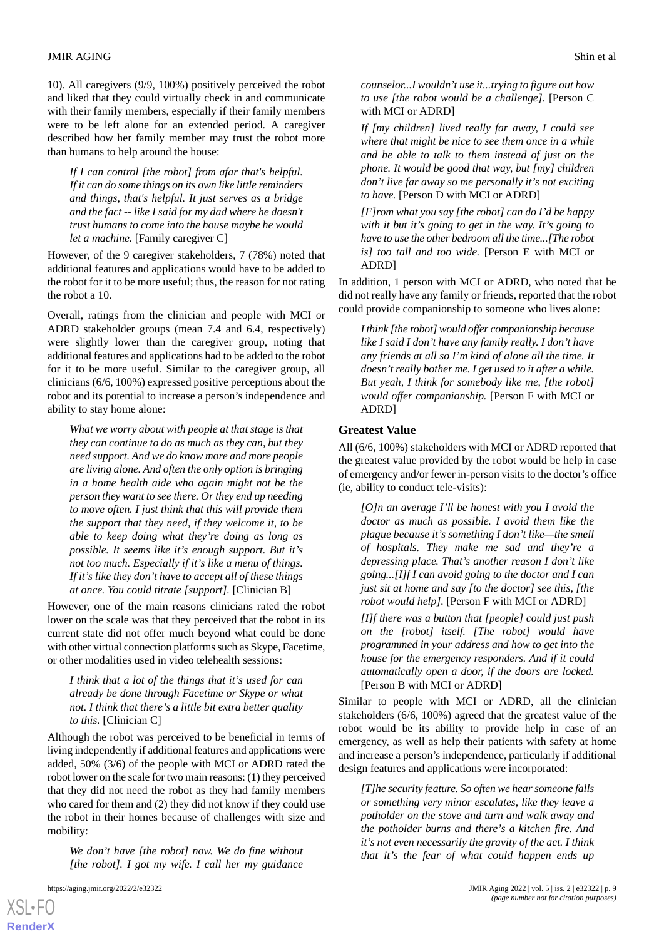10). All caregivers (9/9, 100%) positively perceived the robot and liked that they could virtually check in and communicate with their family members, especially if their family members were to be left alone for an extended period. A caregiver described how her family member may trust the robot more than humans to help around the house:

*If I can control [the robot] from afar that's helpful. If it can do some things on its own like little reminders and things, that's helpful. It just serves as a bridge and the fact -- like I said for my dad where he doesn't trust humans to come into the house maybe he would let a machine.* [Family caregiver C]

However, of the 9 caregiver stakeholders, 7 (78%) noted that additional features and applications would have to be added to the robot for it to be more useful; thus, the reason for not rating the robot a 10.

Overall, ratings from the clinician and people with MCI or ADRD stakeholder groups (mean 7.4 and 6.4, respectively) were slightly lower than the caregiver group, noting that additional features and applications had to be added to the robot for it to be more useful. Similar to the caregiver group, all clinicians (6/6, 100%) expressed positive perceptions about the robot and its potential to increase a person's independence and ability to stay home alone:

*What we worry about with people at that stage is that they can continue to do as much as they can, but they need support. And we do know more and more people are living alone. And often the only option is bringing in a home health aide who again might not be the person they want to see there. Or they end up needing to move often. I just think that this will provide them the support that they need, if they welcome it, to be able to keep doing what they're doing as long as possible. It seems like it's enough support. But it's not too much. Especially if it's like a menu of things. If it's like they don't have to accept all of these things at once. You could titrate [support].* [Clinician B]

However, one of the main reasons clinicians rated the robot lower on the scale was that they perceived that the robot in its current state did not offer much beyond what could be done with other virtual connection platforms such as Skype, Facetime, or other modalities used in video telehealth sessions:

*I think that a lot of the things that it's used for can already be done through Facetime or Skype or what not. I think that there's a little bit extra better quality to this.* [Clinician C]

Although the robot was perceived to be beneficial in terms of living independently if additional features and applications were added, 50% (3/6) of the people with MCI or ADRD rated the robot lower on the scale for two main reasons: (1) they perceived that they did not need the robot as they had family members who cared for them and (2) they did not know if they could use the robot in their homes because of challenges with size and mobility:

*We don't have [the robot] now. We do fine without [the robot]. I got my wife. I call her my guidance*

[XSL](http://www.w3.org/Style/XSL)•FO **[RenderX](http://www.renderx.com/)**

*counselor...I wouldn't use it...trying to figure out how to use [the robot would be a challenge].* [Person C with MCI or ADRD]

*If [my children] lived really far away, I could see where that might be nice to see them once in a while and be able to talk to them instead of just on the phone. It would be good that way, but [my] children don't live far away so me personally it's not exciting to have.* [Person D with MCI or ADRD]

*[F]rom what you say [the robot] can do I'd be happy with it but it's going to get in the way. It's going to have to use the other bedroom all the time...[The robot is] too tall and too wide.* [Person E with MCI or ADRD]

In addition, 1 person with MCI or ADRD, who noted that he did not really have any family or friends, reported that the robot could provide companionship to someone who lives alone:

*I think [the robot] would offer companionship because like I said I don't have any family really. I don't have any friends at all so I'm kind of alone all the time. It doesn't really bother me. I get used to it after a while. But yeah, I think for somebody like me, [the robot] would offer companionship.* [Person F with MCI or ADRD]

#### **Greatest Value**

All (6/6, 100%) stakeholders with MCI or ADRD reported that the greatest value provided by the robot would be help in case of emergency and/or fewer in-person visits to the doctor's office (ie, ability to conduct tele-visits):

*[O]n an average I'll be honest with you I avoid the doctor as much as possible. I avoid them like the plague because it's something I don't like—the smell of hospitals. They make me sad and they're a depressing place. That's another reason I don't like going...[I]f I can avoid going to the doctor and I can just sit at home and say [to the doctor] see this, [the robot would help].* [Person F with MCI or ADRD]

*[I]f there was a button that [people] could just push on the [robot] itself. [The robot] would have programmed in your address and how to get into the house for the emergency responders. And if it could automatically open a door, if the doors are locked.* [Person B with MCI or ADRD]

Similar to people with MCI or ADRD, all the clinician stakeholders (6/6, 100%) agreed that the greatest value of the robot would be its ability to provide help in case of an emergency, as well as help their patients with safety at home and increase a person's independence, particularly if additional design features and applications were incorporated:

*[T]he security feature. So often we hear someone falls or something very minor escalates, like they leave a potholder on the stove and turn and walk away and the potholder burns and there's a kitchen fire. And it's not even necessarily the gravity of the act. I think that it's the fear of what could happen ends up*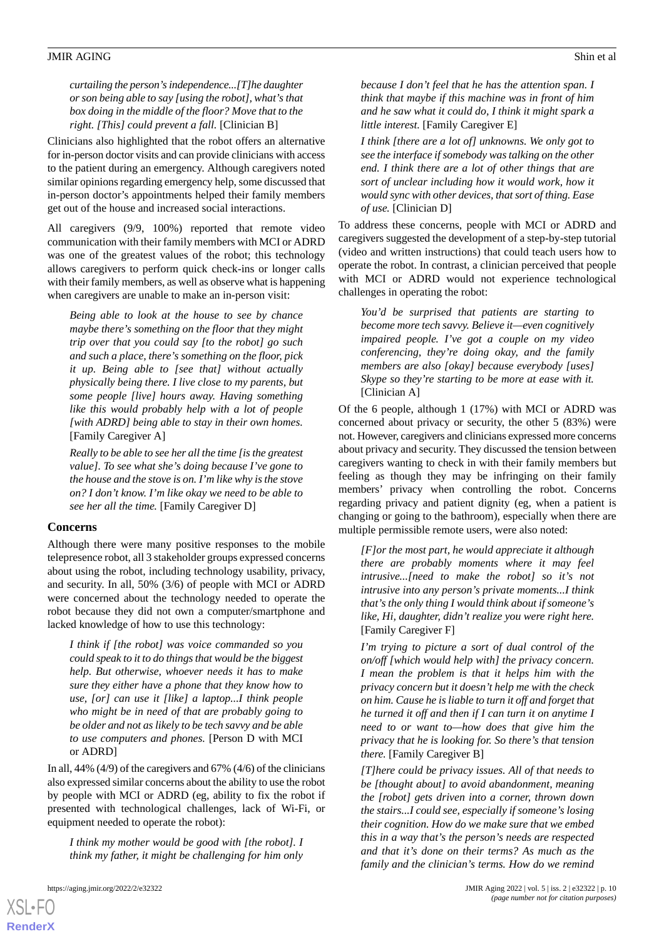*curtailing the person's independence...[T]he daughter or son being able to say [using the robot], what's that box doing in the middle of the floor? Move that to the right. [This] could prevent a fall.* [Clinician B]

Clinicians also highlighted that the robot offers an alternative for in-person doctor visits and can provide clinicians with access to the patient during an emergency. Although caregivers noted similar opinions regarding emergency help, some discussed that in-person doctor's appointments helped their family members get out of the house and increased social interactions.

All caregivers (9/9, 100%) reported that remote video communication with their family members with MCI or ADRD was one of the greatest values of the robot; this technology allows caregivers to perform quick check-ins or longer calls with their family members, as well as observe what is happening when caregivers are unable to make an in-person visit:

*Being able to look at the house to see by chance maybe there's something on the floor that they might trip over that you could say [to the robot] go such and such a place, there's something on the floor, pick it up. Being able to [see that] without actually physically being there. I live close to my parents, but some people [live] hours away. Having something like this would probably help with a lot of people [with ADRD] being able to stay in their own homes.* [Family Caregiver A]

*Really to be able to see her all the time [is the greatest value]. To see what she's doing because I've gone to the house and the stove is on. I'm like why is the stove on? I don't know. I'm like okay we need to be able to see her all the time.* [Family Caregiver D]

#### **Concerns**

Although there were many positive responses to the mobile telepresence robot, all 3 stakeholder groups expressed concerns about using the robot, including technology usability, privacy, and security. In all, 50% (3/6) of people with MCI or ADRD were concerned about the technology needed to operate the robot because they did not own a computer/smartphone and lacked knowledge of how to use this technology:

*I think if [the robot] was voice commanded so you could speak to it to do things that would be the biggest help. But otherwise, whoever needs it has to make sure they either have a phone that they know how to use, [or] can use it [like] a laptop...I think people who might be in need of that are probably going to be older and not as likely to be tech savvy and be able to use computers and phones.* [Person D with MCI or ADRD]

In all, 44% (4/9) of the caregivers and 67% (4/6) of the clinicians also expressed similar concerns about the ability to use the robot by people with MCI or ADRD (eg, ability to fix the robot if presented with technological challenges, lack of Wi-Fi, or equipment needed to operate the robot):

*I think my mother would be good with [the robot]. I think my father, it might be challenging for him only*

[XSL](http://www.w3.org/Style/XSL)•FO **[RenderX](http://www.renderx.com/)**

*because I don't feel that he has the attention span. I think that maybe if this machine was in front of him and he saw what it could do, I think it might spark a little interest.* [Family Caregiver E]

*I think [there are a lot of] unknowns. We only got to see the interface if somebody was talking on the other end. I think there are a lot of other things that are sort of unclear including how it would work, how it would sync with other devices, that sort of thing. Ease of use.* [Clinician D]

To address these concerns, people with MCI or ADRD and caregivers suggested the development of a step-by-step tutorial (video and written instructions) that could teach users how to operate the robot. In contrast, a clinician perceived that people with MCI or ADRD would not experience technological challenges in operating the robot:

*You'd be surprised that patients are starting to become more tech savvy. Believe it—even cognitively impaired people. I've got a couple on my video conferencing, they're doing okay, and the family members are also [okay] because everybody [uses] Skype so they're starting to be more at ease with it.* [Clinician A]

Of the 6 people, although 1 (17%) with MCI or ADRD was concerned about privacy or security, the other 5 (83%) were not. However, caregivers and clinicians expressed more concerns about privacy and security. They discussed the tension between caregivers wanting to check in with their family members but feeling as though they may be infringing on their family members' privacy when controlling the robot. Concerns regarding privacy and patient dignity (eg, when a patient is changing or going to the bathroom), especially when there are multiple permissible remote users, were also noted:

*[F]or the most part, he would appreciate it although there are probably moments where it may feel intrusive...[need to make the robot] so it's not intrusive into any person's private moments...I think that's the only thing I would think about if someone's like, Hi, daughter, didn't realize you were right here.* [Family Caregiver F]

*I'm trying to picture a sort of dual control of the on/off [which would help with] the privacy concern. I mean the problem is that it helps him with the privacy concern but it doesn't help me with the check on him. Cause he is liable to turn it off and forget that he turned it off and then if I can turn it on anytime I need to or want to—how does that give him the privacy that he is looking for. So there's that tension there.* [Family Caregiver B]

*[T]here could be privacy issues. All of that needs to be [thought about] to avoid abandonment, meaning the [robot] gets driven into a corner, thrown down the stairs...I could see, especially if someone's losing their cognition. How do we make sure that we embed this in a way that's the person's needs are respected and that it's done on their terms? As much as the family and the clinician's terms. How do we remind*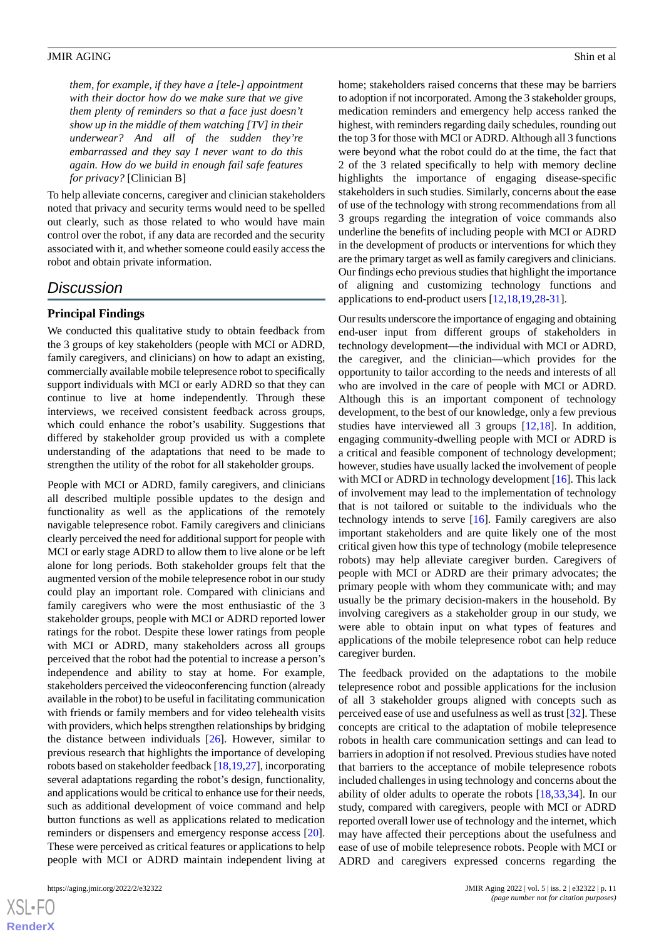*them, for example, if they have a [tele-] appointment with their doctor how do we make sure that we give them plenty of reminders so that a face just doesn't show up in the middle of them watching [TV] in their underwear? And all of the sudden they're embarrassed and they say I never want to do this again. How do we build in enough fail safe features for privacy?* [Clinician B]

To help alleviate concerns, caregiver and clinician stakeholders noted that privacy and security terms would need to be spelled out clearly, such as those related to who would have main control over the robot, if any data are recorded and the security associated with it, and whether someone could easily access the robot and obtain private information.

## *Discussion*

## **Principal Findings**

We conducted this qualitative study to obtain feedback from the 3 groups of key stakeholders (people with MCI or ADRD, family caregivers, and clinicians) on how to adapt an existing, commercially available mobile telepresence robot to specifically support individuals with MCI or early ADRD so that they can continue to live at home independently. Through these interviews, we received consistent feedback across groups, which could enhance the robot's usability. Suggestions that differed by stakeholder group provided us with a complete understanding of the adaptations that need to be made to strengthen the utility of the robot for all stakeholder groups.

People with MCI or ADRD, family caregivers, and clinicians all described multiple possible updates to the design and functionality as well as the applications of the remotely navigable telepresence robot. Family caregivers and clinicians clearly perceived the need for additional support for people with MCI or early stage ADRD to allow them to live alone or be left alone for long periods. Both stakeholder groups felt that the augmented version of the mobile telepresence robot in our study could play an important role. Compared with clinicians and family caregivers who were the most enthusiastic of the 3 stakeholder groups, people with MCI or ADRD reported lower ratings for the robot. Despite these lower ratings from people with MCI or ADRD, many stakeholders across all groups perceived that the robot had the potential to increase a person's independence and ability to stay at home. For example, stakeholders perceived the videoconferencing function (already available in the robot) to be useful in facilitating communication with friends or family members and for video telehealth visits with providers, which helps strengthen relationships by bridging the distance between individuals [[26\]](#page-13-7). However, similar to previous research that highlights the importance of developing robots based on stakeholder feedback [\[18](#page-13-3),[19,](#page-13-8)[27](#page-13-9)], incorporating several adaptations regarding the robot's design, functionality, and applications would be critical to enhance use for their needs, such as additional development of voice command and help button functions as well as applications related to medication reminders or dispensers and emergency response access [[20\]](#page-13-10). These were perceived as critical features or applications to help people with MCI or ADRD maintain independent living at

home; stakeholders raised concerns that these may be barriers to adoption if not incorporated. Among the 3 stakeholder groups, medication reminders and emergency help access ranked the highest, with reminders regarding daily schedules, rounding out the top 3 for those with MCI or ADRD. Although all 3 functions were beyond what the robot could do at the time, the fact that 2 of the 3 related specifically to help with memory decline highlights the importance of engaging disease-specific stakeholders in such studies. Similarly, concerns about the ease of use of the technology with strong recommendations from all 3 groups regarding the integration of voice commands also underline the benefits of including people with MCI or ADRD in the development of products or interventions for which they are the primary target as well as family caregivers and clinicians. Our findings echo previous studies that highlight the importance of aligning and customizing technology functions and applications to end-product users [[12](#page-13-11)[,18](#page-13-3),[19](#page-13-8)[,28](#page-13-12)-[31\]](#page-13-13).

Our results underscore the importance of engaging and obtaining end-user input from different groups of stakeholders in technology development—the individual with MCI or ADRD, the caregiver, and the clinician—which provides for the opportunity to tailor according to the needs and interests of all who are involved in the care of people with MCI or ADRD. Although this is an important component of technology development, to the best of our knowledge, only a few previous studies have interviewed all 3 groups [\[12](#page-13-11),[18\]](#page-13-3). In addition, engaging community-dwelling people with MCI or ADRD is a critical and feasible component of technology development; however, studies have usually lacked the involvement of people with MCI or ADRD in technology development [\[16](#page-13-14)]. This lack of involvement may lead to the implementation of technology that is not tailored or suitable to the individuals who the technology intends to serve [\[16](#page-13-14)]. Family caregivers are also important stakeholders and are quite likely one of the most critical given how this type of technology (mobile telepresence robots) may help alleviate caregiver burden. Caregivers of people with MCI or ADRD are their primary advocates; the primary people with whom they communicate with; and may usually be the primary decision-makers in the household. By involving caregivers as a stakeholder group in our study, we were able to obtain input on what types of features and applications of the mobile telepresence robot can help reduce caregiver burden.

The feedback provided on the adaptations to the mobile telepresence robot and possible applications for the inclusion of all 3 stakeholder groups aligned with concepts such as perceived ease of use and usefulness as well as trust [\[32](#page-13-15)]. These concepts are critical to the adaptation of mobile telepresence robots in health care communication settings and can lead to barriers in adoption if not resolved. Previous studies have noted that barriers to the acceptance of mobile telepresence robots included challenges in using technology and concerns about the ability of older adults to operate the robots [\[18](#page-13-3),[33,](#page-14-0)[34](#page-14-1)]. In our study, compared with caregivers, people with MCI or ADRD reported overall lower use of technology and the internet, which may have affected their perceptions about the usefulness and ease of use of mobile telepresence robots. People with MCI or ADRD and caregivers expressed concerns regarding the

 $XS$ -FO **[RenderX](http://www.renderx.com/)**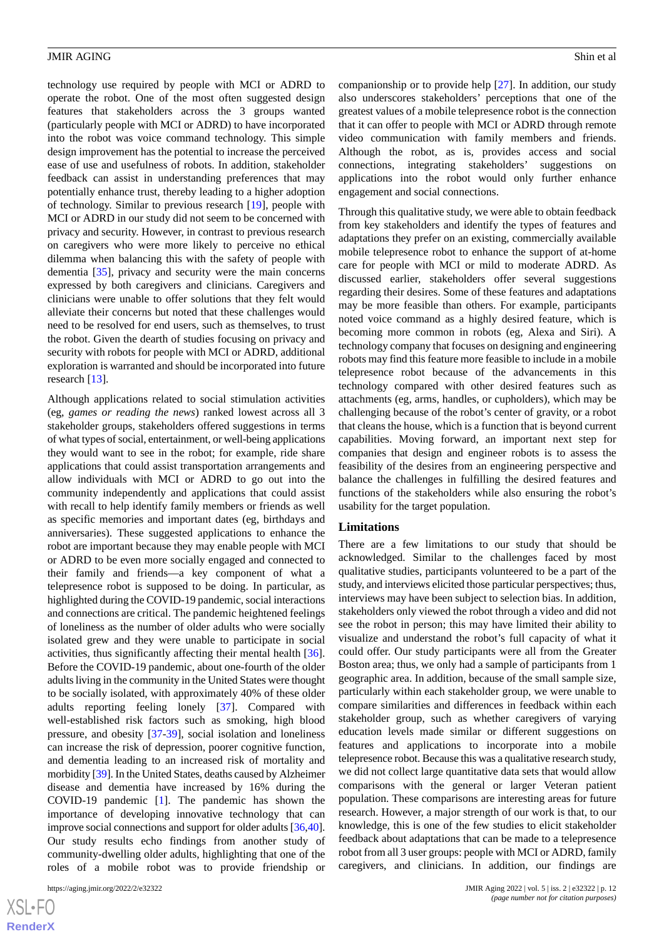technology use required by people with MCI or ADRD to operate the robot. One of the most often suggested design features that stakeholders across the 3 groups wanted (particularly people with MCI or ADRD) to have incorporated into the robot was voice command technology. This simple design improvement has the potential to increase the perceived ease of use and usefulness of robots. In addition, stakeholder feedback can assist in understanding preferences that may potentially enhance trust, thereby leading to a higher adoption of technology. Similar to previous research [[19\]](#page-13-8), people with MCI or ADRD in our study did not seem to be concerned with privacy and security. However, in contrast to previous research on caregivers who were more likely to perceive no ethical dilemma when balancing this with the safety of people with dementia [\[35](#page-14-2)], privacy and security were the main concerns expressed by both caregivers and clinicians. Caregivers and clinicians were unable to offer solutions that they felt would alleviate their concerns but noted that these challenges would need to be resolved for end users, such as themselves, to trust the robot. Given the dearth of studies focusing on privacy and security with robots for people with MCI or ADRD, additional exploration is warranted and should be incorporated into future research [[13\]](#page-13-16).

Although applications related to social stimulation activities (eg, *games or reading the news*) ranked lowest across all 3 stakeholder groups, stakeholders offered suggestions in terms of what types of social, entertainment, or well-being applications they would want to see in the robot; for example, ride share applications that could assist transportation arrangements and allow individuals with MCI or ADRD to go out into the community independently and applications that could assist with recall to help identify family members or friends as well as specific memories and important dates (eg, birthdays and anniversaries). These suggested applications to enhance the robot are important because they may enable people with MCI or ADRD to be even more socially engaged and connected to their family and friends—a key component of what a telepresence robot is supposed to be doing. In particular, as highlighted during the COVID-19 pandemic, social interactions and connections are critical. The pandemic heightened feelings of loneliness as the number of older adults who were socially isolated grew and they were unable to participate in social activities, thus significantly affecting their mental health [[36\]](#page-14-3). Before the COVID-19 pandemic, about one-fourth of the older adults living in the community in the United States were thought to be socially isolated, with approximately 40% of these older adults reporting feeling lonely [\[37](#page-14-4)]. Compared with well-established risk factors such as smoking, high blood pressure, and obesity [[37-](#page-14-4)[39](#page-14-5)], social isolation and loneliness can increase the risk of depression, poorer cognitive function, and dementia leading to an increased risk of mortality and morbidity [\[39\]](#page-14-5). In the United States, deaths caused by Alzheimer disease and dementia have increased by 16% during the COVID-19 pandemic [\[1](#page-12-0)]. The pandemic has shown the importance of developing innovative technology that can improve social connections and support for older adults [[36,](#page-14-3)[40\]](#page-14-6). Our study results echo findings from another study of community-dwelling older adults, highlighting that one of the roles of a mobile robot was to provide friendship or

companionship or to provide help [\[27](#page-13-9)]. In addition, our study also underscores stakeholders' perceptions that one of the greatest values of a mobile telepresence robot is the connection that it can offer to people with MCI or ADRD through remote video communication with family members and friends. Although the robot, as is, provides access and social connections, integrating stakeholders' suggestions on applications into the robot would only further enhance engagement and social connections.

Through this qualitative study, we were able to obtain feedback from key stakeholders and identify the types of features and adaptations they prefer on an existing, commercially available mobile telepresence robot to enhance the support of at-home care for people with MCI or mild to moderate ADRD. As discussed earlier, stakeholders offer several suggestions regarding their desires. Some of these features and adaptations may be more feasible than others. For example, participants noted voice command as a highly desired feature, which is becoming more common in robots (eg, Alexa and Siri). A technology company that focuses on designing and engineering robots may find this feature more feasible to include in a mobile telepresence robot because of the advancements in this technology compared with other desired features such as attachments (eg, arms, handles, or cupholders), which may be challenging because of the robot's center of gravity, or a robot that cleans the house, which is a function that is beyond current capabilities. Moving forward, an important next step for companies that design and engineer robots is to assess the feasibility of the desires from an engineering perspective and balance the challenges in fulfilling the desired features and functions of the stakeholders while also ensuring the robot's usability for the target population.

#### **Limitations**

There are a few limitations to our study that should be acknowledged. Similar to the challenges faced by most qualitative studies, participants volunteered to be a part of the study, and interviews elicited those particular perspectives; thus, interviews may have been subject to selection bias. In addition, stakeholders only viewed the robot through a video and did not see the robot in person; this may have limited their ability to visualize and understand the robot's full capacity of what it could offer. Our study participants were all from the Greater Boston area; thus, we only had a sample of participants from 1 geographic area. In addition, because of the small sample size, particularly within each stakeholder group, we were unable to compare similarities and differences in feedback within each stakeholder group, such as whether caregivers of varying education levels made similar or different suggestions on features and applications to incorporate into a mobile telepresence robot. Because this was a qualitative research study, we did not collect large quantitative data sets that would allow comparisons with the general or larger Veteran patient population. These comparisons are interesting areas for future research. However, a major strength of our work is that, to our knowledge, this is one of the few studies to elicit stakeholder feedback about adaptations that can be made to a telepresence robot from all 3 user groups: people with MCI or ADRD, family caregivers, and clinicians. In addition, our findings are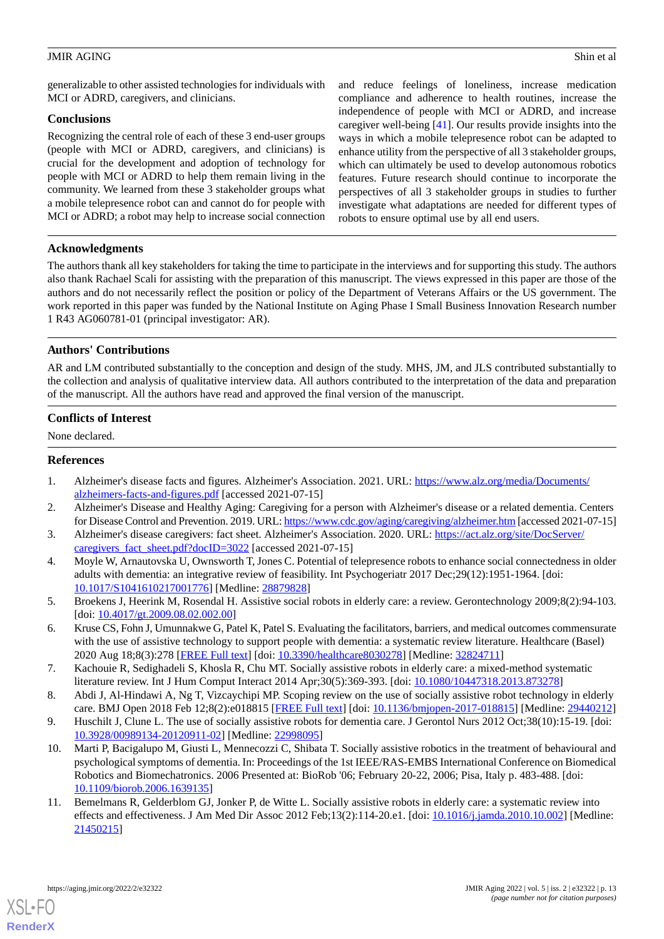generalizable to other assisted technologies for individuals with MCI or ADRD, caregivers, and clinicians.

## **Conclusions**

Recognizing the central role of each of these 3 end-user groups (people with MCI or ADRD, caregivers, and clinicians) is crucial for the development and adoption of technology for people with MCI or ADRD to help them remain living in the community. We learned from these 3 stakeholder groups what a mobile telepresence robot can and cannot do for people with MCI or ADRD; a robot may help to increase social connection

and reduce feelings of loneliness, increase medication compliance and adherence to health routines, increase the independence of people with MCI or ADRD, and increase caregiver well-being [\[41](#page-14-7)]. Our results provide insights into the ways in which a mobile telepresence robot can be adapted to enhance utility from the perspective of all 3 stakeholder groups, which can ultimately be used to develop autonomous robotics features. Future research should continue to incorporate the perspectives of all 3 stakeholder groups in studies to further investigate what adaptations are needed for different types of robots to ensure optimal use by all end users.

## **Acknowledgments**

The authors thank all key stakeholders for taking the time to participate in the interviews and for supporting this study. The authors also thank Rachael Scali for assisting with the preparation of this manuscript. The views expressed in this paper are those of the authors and do not necessarily reflect the position or policy of the Department of Veterans Affairs or the US government. The work reported in this paper was funded by the National Institute on Aging Phase I Small Business Innovation Research number 1 R43 AG060781-01 (principal investigator: AR).

## **Authors' Contributions**

AR and LM contributed substantially to the conception and design of the study. MHS, JM, and JLS contributed substantially to the collection and analysis of qualitative interview data. All authors contributed to the interpretation of the data and preparation of the manuscript. All the authors have read and approved the final version of the manuscript.

## **Conflicts of Interest**

<span id="page-12-0"></span>None declared.

## <span id="page-12-1"></span>**References**

- <span id="page-12-2"></span>1. Alzheimer's disease facts and figures. Alzheimer's Association. 2021. URL: [https://www.alz.org/media/Documents/](https://www.alz.org/media/Documents/alzheimers-facts-and-figures.pdf) [alzheimers-facts-and-figures.pdf](https://www.alz.org/media/Documents/alzheimers-facts-and-figures.pdf) [accessed 2021-07-15]
- <span id="page-12-3"></span>2. Alzheimer's Disease and Healthy Aging: Caregiving for a person with Alzheimer's disease or a related dementia. Centers for Disease Control and Prevention. 2019. URL:<https://www.cdc.gov/aging/caregiving/alzheimer.htm> [accessed 2021-07-15]
- <span id="page-12-4"></span>3. Alzheimer's disease caregivers: fact sheet. Alzheimer's Association. 2020. URL: [https://act.alz.org/site/DocServer/](https://act.alz.org/site/DocServer/caregivers_fact_sheet.pdf?docID=3022) [caregivers\\_fact\\_sheet.pdf?docID=3022](https://act.alz.org/site/DocServer/caregivers_fact_sheet.pdf?docID=3022) [accessed 2021-07-15]
- 4. Moyle W, Arnautovska U, Ownsworth T, Jones C. Potential of telepresence robots to enhance social connectedness in older adults with dementia: an integrative review of feasibility. Int Psychogeriatr 2017 Dec;29(12):1951-1964. [doi: [10.1017/S1041610217001776](http://dx.doi.org/10.1017/S1041610217001776)] [Medline: [28879828](http://www.ncbi.nlm.nih.gov/entrez/query.fcgi?cmd=Retrieve&db=PubMed&list_uids=28879828&dopt=Abstract)]
- 5. Broekens J, Heerink M, Rosendal H. Assistive social robots in elderly care: a review. Gerontechnology 2009;8(2):94-103. [doi: [10.4017/gt.2009.08.02.002.00](http://dx.doi.org/10.4017/gt.2009.08.02.002.00)]
- 6. Kruse CS, Fohn J, Umunnakwe G, Patel K, Patel S. Evaluating the facilitators, barriers, and medical outcomes commensurate with the use of assistive technology to support people with dementia: a systematic review literature. Healthcare (Basel) 2020 Aug 18;8(3):278 [[FREE Full text](https://www.mdpi.com/resolver?pii=healthcare8030278)] [doi: [10.3390/healthcare8030278\]](http://dx.doi.org/10.3390/healthcare8030278) [Medline: [32824711\]](http://www.ncbi.nlm.nih.gov/entrez/query.fcgi?cmd=Retrieve&db=PubMed&list_uids=32824711&dopt=Abstract)
- 7. Kachouie R, Sedighadeli S, Khosla R, Chu MT. Socially assistive robots in elderly care: a mixed-method systematic literature review. Int J Hum Comput Interact 2014 Apr;30(5):369-393. [doi: [10.1080/10447318.2013.873278\]](http://dx.doi.org/10.1080/10447318.2013.873278)
- 8. Abdi J, Al-Hindawi A, Ng T, Vizcaychipi MP. Scoping review on the use of socially assistive robot technology in elderly care. BMJ Open 2018 Feb 12;8(2):e018815 [[FREE Full text](https://bmjopen.bmj.com/lookup/pmidlookup?view=long&pmid=29440212)] [doi: [10.1136/bmjopen-2017-018815](http://dx.doi.org/10.1136/bmjopen-2017-018815)] [Medline: [29440212](http://www.ncbi.nlm.nih.gov/entrez/query.fcgi?cmd=Retrieve&db=PubMed&list_uids=29440212&dopt=Abstract)]
- <span id="page-12-5"></span>9. Huschilt J, Clune L. The use of socially assistive robots for dementia care. J Gerontol Nurs 2012 Oct;38(10):15-19. [doi: [10.3928/00989134-20120911-02](http://dx.doi.org/10.3928/00989134-20120911-02)] [Medline: [22998095](http://www.ncbi.nlm.nih.gov/entrez/query.fcgi?cmd=Retrieve&db=PubMed&list_uids=22998095&dopt=Abstract)]
- 10. Marti P, Bacigalupo M, Giusti L, Mennecozzi C, Shibata T. Socially assistive robotics in the treatment of behavioural and psychological symptoms of dementia. In: Proceedings of the 1st IEEE/RAS-EMBS International Conference on Biomedical Robotics and Biomechatronics. 2006 Presented at: BioRob '06; February 20-22, 2006; Pisa, Italy p. 483-488. [doi: [10.1109/biorob.2006.1639135\]](http://dx.doi.org/10.1109/biorob.2006.1639135)
- 11. Bemelmans R, Gelderblom GJ, Jonker P, de Witte L. Socially assistive robots in elderly care: a systematic review into effects and effectiveness. J Am Med Dir Assoc 2012 Feb;13(2):114-20.e1. [doi: [10.1016/j.jamda.2010.10.002](http://dx.doi.org/10.1016/j.jamda.2010.10.002)] [Medline: [21450215](http://www.ncbi.nlm.nih.gov/entrez/query.fcgi?cmd=Retrieve&db=PubMed&list_uids=21450215&dopt=Abstract)]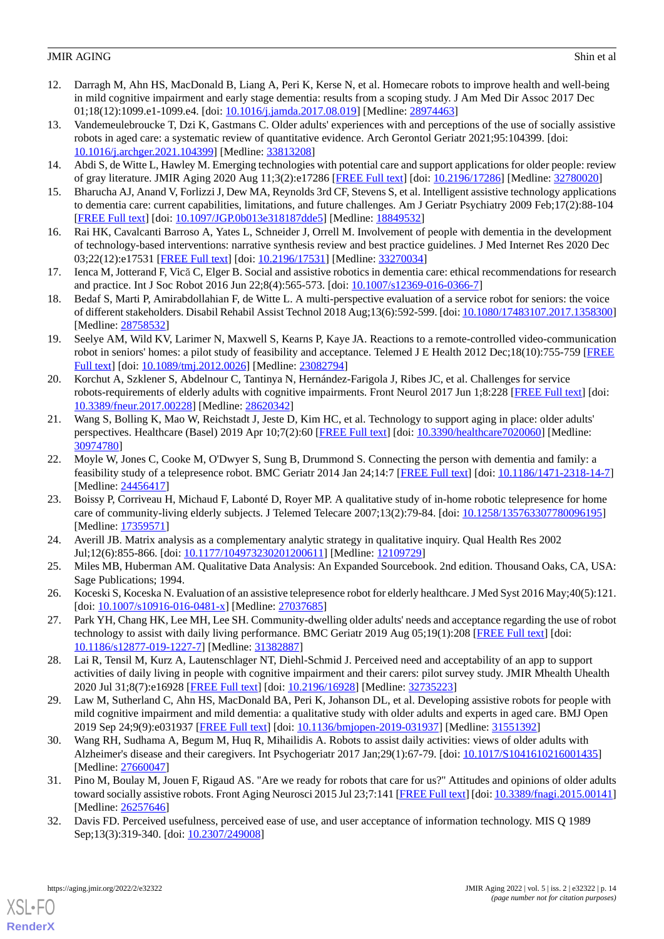- <span id="page-13-11"></span>12. Darragh M, Ahn HS, MacDonald B, Liang A, Peri K, Kerse N, et al. Homecare robots to improve health and well-being in mild cognitive impairment and early stage dementia: results from a scoping study. J Am Med Dir Assoc 2017 Dec 01;18(12):1099.e1-1099.e4. [doi: [10.1016/j.jamda.2017.08.019\]](http://dx.doi.org/10.1016/j.jamda.2017.08.019) [Medline: [28974463\]](http://www.ncbi.nlm.nih.gov/entrez/query.fcgi?cmd=Retrieve&db=PubMed&list_uids=28974463&dopt=Abstract)
- <span id="page-13-16"></span>13. Vandemeulebroucke T, Dzi K, Gastmans C. Older adults' experiences with and perceptions of the use of socially assistive robots in aged care: a systematic review of quantitative evidence. Arch Gerontol Geriatr 2021;95:104399. [doi: [10.1016/j.archger.2021.104399\]](http://dx.doi.org/10.1016/j.archger.2021.104399) [Medline: [33813208](http://www.ncbi.nlm.nih.gov/entrez/query.fcgi?cmd=Retrieve&db=PubMed&list_uids=33813208&dopt=Abstract)]
- <span id="page-13-1"></span><span id="page-13-0"></span>14. Abdi S, de Witte L, Hawley M. Emerging technologies with potential care and support applications for older people: review of gray literature. JMIR Aging 2020 Aug 11;3(2):e17286 [\[FREE Full text\]](https://aging.jmir.org/2020/2/e17286/) [doi: [10.2196/17286](http://dx.doi.org/10.2196/17286)] [Medline: [32780020\]](http://www.ncbi.nlm.nih.gov/entrez/query.fcgi?cmd=Retrieve&db=PubMed&list_uids=32780020&dopt=Abstract)
- <span id="page-13-14"></span>15. Bharucha AJ, Anand V, Forlizzi J, Dew MA, Reynolds 3rd CF, Stevens S, et al. Intelligent assistive technology applications to dementia care: current capabilities, limitations, and future challenges. Am J Geriatr Psychiatry 2009 Feb;17(2):88-104 [[FREE Full text](http://europepmc.org/abstract/MED/18849532)] [doi: [10.1097/JGP.0b013e318187dde5\]](http://dx.doi.org/10.1097/JGP.0b013e318187dde5) [Medline: [18849532\]](http://www.ncbi.nlm.nih.gov/entrez/query.fcgi?cmd=Retrieve&db=PubMed&list_uids=18849532&dopt=Abstract)
- <span id="page-13-2"></span>16. Rai HK, Cavalcanti Barroso A, Yates L, Schneider J, Orrell M. Involvement of people with dementia in the development of technology-based interventions: narrative synthesis review and best practice guidelines. J Med Internet Res 2020 Dec 03;22(12):e17531 [\[FREE Full text](https://www.jmir.org/2020/12/e17531/)] [doi: [10.2196/17531\]](http://dx.doi.org/10.2196/17531) [Medline: [33270034\]](http://www.ncbi.nlm.nih.gov/entrez/query.fcgi?cmd=Retrieve&db=PubMed&list_uids=33270034&dopt=Abstract)
- <span id="page-13-3"></span>17. Ienca M, Jotterand F, Vică C, Elger B. Social and assistive robotics in dementia care: ethical recommendations for research and practice. Int J Soc Robot 2016 Jun 22;8(4):565-573. [doi: [10.1007/s12369-016-0366-7\]](http://dx.doi.org/10.1007/s12369-016-0366-7)
- <span id="page-13-8"></span>18. Bedaf S, Marti P, Amirabdollahian F, de Witte L. A multi-perspective evaluation of a service robot for seniors: the voice of different stakeholders. Disabil Rehabil Assist Technol 2018 Aug;13(6):592-599. [doi: [10.1080/17483107.2017.1358300\]](http://dx.doi.org/10.1080/17483107.2017.1358300) [Medline: [28758532](http://www.ncbi.nlm.nih.gov/entrez/query.fcgi?cmd=Retrieve&db=PubMed&list_uids=28758532&dopt=Abstract)]
- <span id="page-13-10"></span>19. Seelye AM, Wild KV, Larimer N, Maxwell S, Kearns P, Kaye JA. Reactions to a remote-controlled video-communication robot in seniors' homes: a pilot study of feasibility and acceptance. Telemed J E Health 2012 Dec;18(10):755-759 [\[FREE](http://europepmc.org/abstract/MED/23082794) [Full text\]](http://europepmc.org/abstract/MED/23082794) [doi: [10.1089/tmj.2012.0026\]](http://dx.doi.org/10.1089/tmj.2012.0026) [Medline: [23082794\]](http://www.ncbi.nlm.nih.gov/entrez/query.fcgi?cmd=Retrieve&db=PubMed&list_uids=23082794&dopt=Abstract)
- 20. Korchut A, Szklener S, Abdelnour C, Tantinya N, Hernández-Farigola J, Ribes JC, et al. Challenges for service robots-requirements of elderly adults with cognitive impairments. Front Neurol 2017 Jun 1;8:228 [\[FREE Full text\]](https://doi.org/10.3389/fneur.2017.00228) [doi: [10.3389/fneur.2017.00228](http://dx.doi.org/10.3389/fneur.2017.00228)] [Medline: [28620342](http://www.ncbi.nlm.nih.gov/entrez/query.fcgi?cmd=Retrieve&db=PubMed&list_uids=28620342&dopt=Abstract)]
- 21. Wang S, Bolling K, Mao W, Reichstadt J, Jeste D, Kim HC, et al. Technology to support aging in place: older adults' perspectives. Healthcare (Basel) 2019 Apr 10;7(2):60 [\[FREE Full text\]](https://www.mdpi.com/resolver?pii=healthcare7020060) [doi: [10.3390/healthcare7020060](http://dx.doi.org/10.3390/healthcare7020060)] [Medline: [30974780](http://www.ncbi.nlm.nih.gov/entrez/query.fcgi?cmd=Retrieve&db=PubMed&list_uids=30974780&dopt=Abstract)]
- <span id="page-13-4"></span>22. Moyle W, Jones C, Cooke M, O'Dwyer S, Sung B, Drummond S. Connecting the person with dementia and family: a feasibility study of a telepresence robot. BMC Geriatr 2014 Jan 24;14:7 [\[FREE Full text\]](https://bmcgeriatr.biomedcentral.com/articles/10.1186/1471-2318-14-7) [doi: [10.1186/1471-2318-14-7](http://dx.doi.org/10.1186/1471-2318-14-7)] [Medline: [24456417](http://www.ncbi.nlm.nih.gov/entrez/query.fcgi?cmd=Retrieve&db=PubMed&list_uids=24456417&dopt=Abstract)]
- <span id="page-13-6"></span><span id="page-13-5"></span>23. Boissy P, Corriveau H, Michaud F, Labonté D, Royer MP. A qualitative study of in-home robotic telepresence for home care of community-living elderly subjects. J Telemed Telecare 2007;13(2):79-84. [doi: [10.1258/135763307780096195](http://dx.doi.org/10.1258/135763307780096195)] [Medline: [17359571](http://www.ncbi.nlm.nih.gov/entrez/query.fcgi?cmd=Retrieve&db=PubMed&list_uids=17359571&dopt=Abstract)]
- <span id="page-13-7"></span>24. Averill JB. Matrix analysis as a complementary analytic strategy in qualitative inquiry. Qual Health Res 2002 Jul;12(6):855-866. [doi: [10.1177/104973230201200611](http://dx.doi.org/10.1177/104973230201200611)] [Medline: [12109729](http://www.ncbi.nlm.nih.gov/entrez/query.fcgi?cmd=Retrieve&db=PubMed&list_uids=12109729&dopt=Abstract)]
- <span id="page-13-9"></span>25. Miles MB, Huberman AM. Qualitative Data Analysis: An Expanded Sourcebook. 2nd edition. Thousand Oaks, CA, USA: Sage Publications; 1994.
- <span id="page-13-12"></span>26. Koceski S, Koceska N. Evaluation of an assistive telepresence robot for elderly healthcare. J Med Syst 2016 May;40(5):121. [doi: [10.1007/s10916-016-0481-x](http://dx.doi.org/10.1007/s10916-016-0481-x)] [Medline: [27037685\]](http://www.ncbi.nlm.nih.gov/entrez/query.fcgi?cmd=Retrieve&db=PubMed&list_uids=27037685&dopt=Abstract)
- 27. Park YH, Chang HK, Lee MH, Lee SH. Community-dwelling older adults' needs and acceptance regarding the use of robot technology to assist with daily living performance. BMC Geriatr 2019 Aug 05;19(1):208 [[FREE Full text](https://bmcgeriatr.biomedcentral.com/articles/10.1186/s12877-019-1227-7)] [doi: [10.1186/s12877-019-1227-7\]](http://dx.doi.org/10.1186/s12877-019-1227-7) [Medline: [31382887](http://www.ncbi.nlm.nih.gov/entrez/query.fcgi?cmd=Retrieve&db=PubMed&list_uids=31382887&dopt=Abstract)]
- 28. Lai R, Tensil M, Kurz A, Lautenschlager NT, Diehl-Schmid J. Perceived need and acceptability of an app to support activities of daily living in people with cognitive impairment and their carers: pilot survey study. JMIR Mhealth Uhealth 2020 Jul 31;8(7):e16928 [[FREE Full text](https://mhealth.jmir.org/2020/7/e16928/)] [doi: [10.2196/16928\]](http://dx.doi.org/10.2196/16928) [Medline: [32735223](http://www.ncbi.nlm.nih.gov/entrez/query.fcgi?cmd=Retrieve&db=PubMed&list_uids=32735223&dopt=Abstract)]
- <span id="page-13-13"></span>29. Law M, Sutherland C, Ahn HS, MacDonald BA, Peri K, Johanson DL, et al. Developing assistive robots for people with mild cognitive impairment and mild dementia: a qualitative study with older adults and experts in aged care. BMJ Open 2019 Sep 24;9(9):e031937 [\[FREE Full text](https://bmjopen.bmj.com/lookup/pmidlookup?view=long&pmid=31551392)] [doi: [10.1136/bmjopen-2019-031937\]](http://dx.doi.org/10.1136/bmjopen-2019-031937) [Medline: [31551392](http://www.ncbi.nlm.nih.gov/entrez/query.fcgi?cmd=Retrieve&db=PubMed&list_uids=31551392&dopt=Abstract)]
- <span id="page-13-15"></span>30. Wang RH, Sudhama A, Begum M, Huq R, Mihailidis A. Robots to assist daily activities: views of older adults with Alzheimer's disease and their caregivers. Int Psychogeriatr 2017 Jan;29(1):67-79. [doi: [10.1017/S1041610216001435](http://dx.doi.org/10.1017/S1041610216001435)] [Medline: [27660047](http://www.ncbi.nlm.nih.gov/entrez/query.fcgi?cmd=Retrieve&db=PubMed&list_uids=27660047&dopt=Abstract)]
- 31. Pino M, Boulay M, Jouen F, Rigaud AS. "Are we ready for robots that care for us?" Attitudes and opinions of older adults toward socially assistive robots. Front Aging Neurosci 2015 Jul 23;7:141 [\[FREE Full text\]](https://doi.org/10.3389/fnagi.2015.00141) [doi: [10.3389/fnagi.2015.00141](http://dx.doi.org/10.3389/fnagi.2015.00141)] [Medline: [26257646](http://www.ncbi.nlm.nih.gov/entrez/query.fcgi?cmd=Retrieve&db=PubMed&list_uids=26257646&dopt=Abstract)]
- 32. Davis FD. Perceived usefulness, perceived ease of use, and user acceptance of information technology. MIS Q 1989 Sep;13(3):319-340. [doi: [10.2307/249008\]](http://dx.doi.org/10.2307/249008)